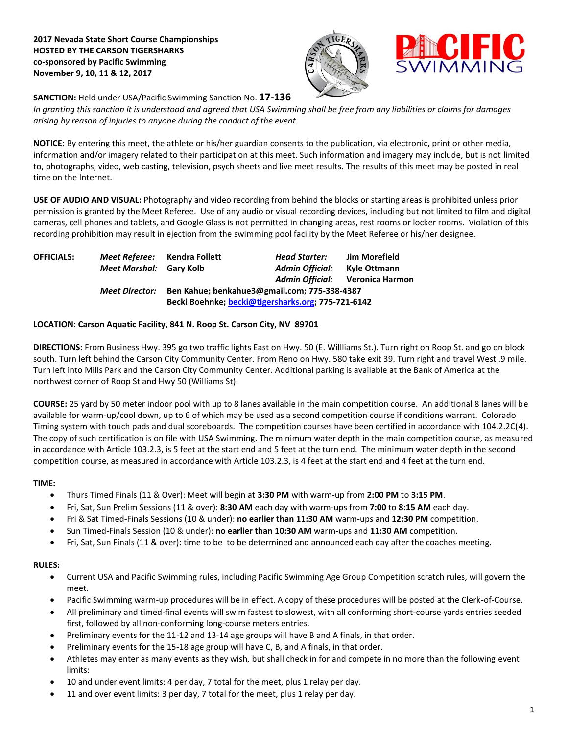**2017 Nevada State Short Course Championships HOSTED BY THE CARSON TIGERSHARKS co-sponsored by Pacific Swimming November 9, 10, 11 & 12, 2017**





**SANCTION:** Held under USA/Pacific Swimming Sanction No. **17-136**

*In granting this sanction it is understood and agreed that USA Swimming shall be free from any liabilities or claims for damages arising by reason of injuries to anyone during the conduct of the event.*

**NOTICE:** By entering this meet, the athlete or his/her guardian consents to the publication, via electronic, print or other media, information and/or imagery related to their participation at this meet. Such information and imagery may include, but is not limited to, photographs, video, web casting, television, psych sheets and live meet results. The results of this meet may be posted in real time on the Internet.

**USE OF AUDIO AND VISUAL:** Photography and video recording from behind the blocks or starting areas is prohibited unless prior permission is granted by the Meet Referee. Use of any audio or visual recording devices, including but not limited to film and digital cameras, cell phones and tablets, and Google Glass is not permitted in changing areas, rest rooms or locker rooms. Violation of this recording prohibition may result in ejection from the swimming pool facility by the Meet Referee or his/her designee.

| <b>OFFICIALS:</b> | Meet Referee: Kendra Follett |                                                    | <b>Head Starter:</b>   | Jim Morefield                   |  |
|-------------------|------------------------------|----------------------------------------------------|------------------------|---------------------------------|--|
|                   | Meet Marshal: Gary Kolb      |                                                    | <b>Admin Official:</b> | Kyle Ottmann                    |  |
|                   |                              |                                                    |                        | Admin Official: Veronica Harmon |  |
|                   | <b>Meet Director:</b>        | Ben Kahue; benkahue3@gmail.com; 775-338-4387       |                        |                                 |  |
|                   |                              | Becki Boehnke; becki@tigersharks.org; 775-721-6142 |                        |                                 |  |

## **LOCATION: Carson Aquatic Facility, 841 N. Roop St. Carson City, NV 89701**

**DIRECTIONS:** From Business Hwy. 395 go two traffic lights East on Hwy. 50 (E. Willliams St.). Turn right on Roop St. and go on block south. Turn left behind the Carson City Community Center. From Reno on Hwy. 580 take exit 39. Turn right and travel West .9 mile. Turn left into Mills Park and the Carson City Community Center. Additional parking is available at the Bank of America at the northwest corner of Roop St and Hwy 50 (Williams St).

**COURSE:** 25 yard by 50 meter indoor pool with up to 8 lanes available in the main competition course. An additional 8 lanes will be available for warm-up/cool down, up to 6 of which may be used as a second competition course if conditions warrant. Colorado Timing system with touch pads and dual scoreboards. The competition courses have been certified in accordance with 104.2.2C(4). The copy of such certification is on file with USA Swimming. The minimum water depth in the main competition course, as measured in accordance with Article 103.2.3, is 5 feet at the start end and 5 feet at the turn end. The minimum water depth in the second competition course, as measured in accordance with Article 103.2.3, is 4 feet at the start end and 4 feet at the turn end.

## **TIME:**

- Thurs Timed Finals (11 & Over): Meet will begin at **3:30 PM** with warm-up from **2:00 PM** to **3:15 PM**.
- Fri, Sat, Sun Prelim Sessions (11 & over): **8:30 AM** each day with warm-ups from **7:00** to **8:15 AM** each day.
- Fri & Sat Timed-Finals Sessions (10 & under): **no earlier than 11:30 AM** warm-ups and **12:30 PM** competition.
- Sun Timed-Finals Session (10 & under): **no earlier than 10:30 AM** warm-ups and **11:30 AM** competition.
- Fri, Sat, Sun Finals (11 & over): time to be to be determined and announced each day after the coaches meeting.

## **RULES:**

- Current USA and Pacific Swimming rules, including Pacific Swimming Age Group Competition scratch rules, will govern the meet.
- Pacific Swimming warm-up procedures will be in effect. A copy of these procedures will be posted at the Clerk-of-Course.
- All preliminary and timed-final events will swim fastest to slowest, with all conforming short-course yards entries seeded first, followed by all non-conforming long-course meters entries.
- Preliminary events for the 11-12 and 13-14 age groups will have B and A finals, in that order.
- Preliminary events for the 15-18 age group will have C, B, and A finals, in that order.
- Athletes may enter as many events as they wish, but shall check in for and compete in no more than the following event limits:
- 10 and under event limits: 4 per day, 7 total for the meet, plus 1 relay per day.
- 11 and over event limits: 3 per day, 7 total for the meet, plus 1 relay per day.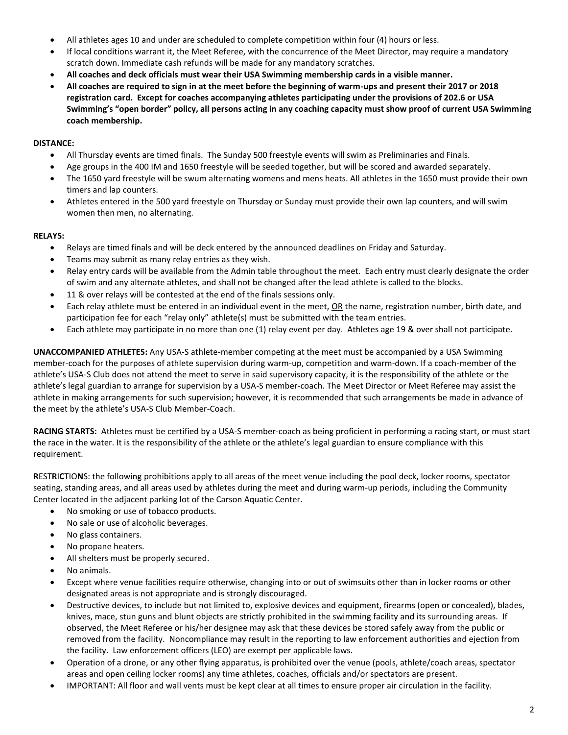- All athletes ages 10 and under are scheduled to complete competition within four (4) hours or less.
- If local conditions warrant it, the Meet Referee, with the concurrence of the Meet Director, may require a mandatory scratch down. Immediate cash refunds will be made for any mandatory scratches.
- **All coaches and deck officials must wear their USA Swimming membership cards in a visible manner.**
- **All coaches are required to sign in at the meet before the beginning of warm-ups and present their 2017 or 2018 registration card. Except for coaches accompanying athletes participating under the provisions of 202.6 or USA Swimming's "open border" policy, all persons acting in any coaching capacity must show proof of current USA Swimming coach membership.**

#### **DISTANCE:**

- All Thursday events are timed finals. The Sunday 500 freestyle events will swim as Preliminaries and Finals.
- Age groups in the 400 IM and 1650 freestyle will be seeded together, but will be scored and awarded separately.
- The 1650 yard freestyle will be swum alternating womens and mens heats. All athletes in the 1650 must provide their own timers and lap counters.
- Athletes entered in the 500 yard freestyle on Thursday or Sunday must provide their own lap counters, and will swim women then men, no alternating.

## **RELAYS:**

- Relays are timed finals and will be deck entered by the announced deadlines on Friday and Saturday.
- Teams may submit as many relay entries as they wish.
- Relay entry cards will be available from the Admin table throughout the meet. Each entry must clearly designate the order of swim and any alternate athletes, and shall not be changed after the lead athlete is called to the blocks.
- 11 & over relays will be contested at the end of the finals sessions only.
- Each relay athlete must be entered in an individual event in the meet, OR the name, registration number, birth date, and participation fee for each "relay only" athlete(s) must be submitted with the team entries.
- Each athlete may participate in no more than one (1) relay event per day. Athletes age 19 & over shall not participate.

**UNACCOMPANIED ATHLETES:** Any USA-S athlete-member competing at the meet must be accompanied by a USA Swimming member-coach for the purposes of athlete supervision during warm-up, competition and warm-down. If a coach-member of the athlete's USA-S Club does not attend the meet to serve in said supervisory capacity, it is the responsibility of the athlete or the athlete's legal guardian to arrange for supervision by a USA-S member-coach. The Meet Director or Meet Referee may assist the athlete in making arrangements for such supervision; however, it is recommended that such arrangements be made in advance of the meet by the athlete's USA-S Club Member-Coach.

**RACING STARTS:** Athletes must be certified by a USA-S member-coach as being proficient in performing a racing start, or must start the race in the water. It is the responsibility of the athlete or the athlete's legal guardian to ensure compliance with this requirement.

**R**EST**R**I**C**TIO**N**S: the following prohibitions apply to all areas of the meet venue including the pool deck, locker rooms, spectator seating, standing areas, and all areas used by athletes during the meet and during warm-up periods, including the Community Center located in the adjacent parking lot of the Carson Aquatic Center.

- No smoking or use of tobacco products.
- No sale or use of alcoholic beverages.
- No glass containers.
- No propane heaters.
- All shelters must be properly secured.
- No animals.
- Except where venue facilities require otherwise, changing into or out of swimsuits other than in locker rooms or other designated areas is not appropriate and is strongly discouraged.
- Destructive devices, to include but not limited to, explosive devices and equipment, firearms (open or concealed), blades, knives, mace, stun guns and blunt objects are strictly prohibited in the swimming facility and its surrounding areas. If observed, the Meet Referee or his/her designee may ask that these devices be stored safely away from the public or removed from the facility. Noncompliance may result in the reporting to law enforcement authorities and ejection from the facility. Law enforcement officers (LEO) are exempt per applicable laws.
- Operation of a drone, or any other flying apparatus, is prohibited over the venue (pools, athlete/coach areas, spectator areas and open ceiling locker rooms) any time athletes, coaches, officials and/or spectators are present.
- IMPORTANT: All floor and wall vents must be kept clear at all times to ensure proper air circulation in the facility.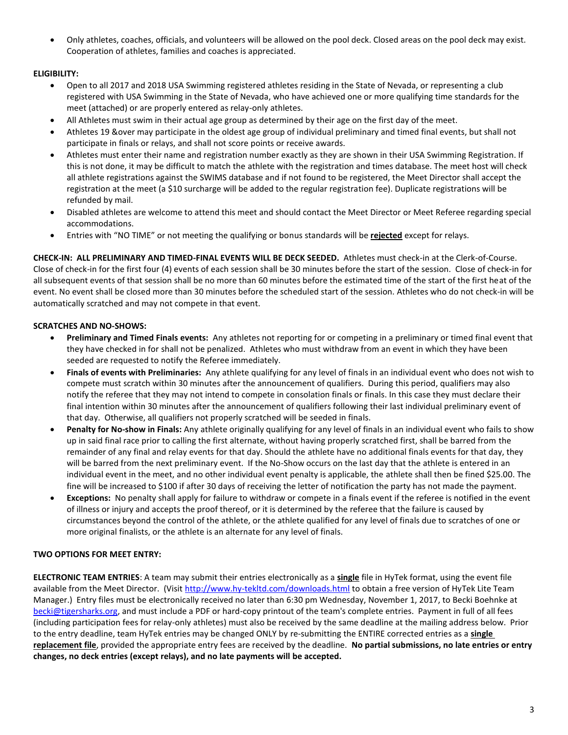Only athletes, coaches, officials, and volunteers will be allowed on the pool deck. Closed areas on the pool deck may exist. Cooperation of athletes, families and coaches is appreciated.

# **ELIGIBILITY:**

- Open to all 2017 and 2018 USA Swimming registered athletes residing in the State of Nevada, or representing a club registered with USA Swimming in the State of Nevada, who have achieved one or more qualifying time standards for the meet (attached) or are properly entered as relay-only athletes.
- All Athletes must swim in their actual age group as determined by their age on the first day of the meet.
- Athletes 19 &over may participate in the oldest age group of individual preliminary and timed final events, but shall not participate in finals or relays, and shall not score points or receive awards.
- Athletes must enter their name and registration number exactly as they are shown in their USA Swimming Registration. If this is not done, it may be difficult to match the athlete with the registration and times database. The meet host will check all athlete registrations against the SWIMS database and if not found to be registered, the Meet Director shall accept the registration at the meet (a \$10 surcharge will be added to the regular registration fee). Duplicate registrations will be refunded by mail.
- Disabled athletes are welcome to attend this meet and should contact the Meet Director or Meet Referee regarding special accommodations.
- Entries with "NO TIME" or not meeting the qualifying or bonus standards will be **rejected** except for relays.

**CHECK-IN: ALL PRELIMINARY AND TIMED-FINAL EVENTS WILL BE DECK SEEDED.** Athletes must check-in at the Clerk-of-Course. Close of check-in for the first four (4) events of each session shall be 30 minutes before the start of the session. Close of check‐in for all subsequent events of that session shall be no more than 60 minutes before the estimated time of the start of the first heat of the event. No event shall be closed more than 30 minutes before the scheduled start of the session. Athletes who do not check-in will be automatically scratched and may not compete in that event.

# **SCRATCHES AND NO-SHOWS:**

- **Preliminary and Timed Finals events:** Any athletes not reporting for or competing in a preliminary or timed final event that they have checked in for shall not be penalized. Athletes who must withdraw from an event in which they have been seeded are requested to notify the Referee immediately.
- **Finals of events with Preliminaries:** Any athlete qualifying for any level of finals in an individual event who does not wish to compete must scratch within 30 minutes after the announcement of qualifiers. During this period, qualifiers may also notify the referee that they may not intend to compete in consolation finals or finals. In this case they must declare their final intention within 30 minutes after the announcement of qualifiers following their last individual preliminary event of that day. Otherwise, all qualifiers not properly scratched will be seeded in finals.
- **Penalty for No-show in Finals:** Any athlete originally qualifying for any level of finals in an individual event who fails to show up in said final race prior to calling the first alternate, without having properly scratched first, shall be barred from the remainder of any final and relay events for that day. Should the athlete have no additional finals events for that day, they will be barred from the next preliminary event. If the No-Show occurs on the last day that the athlete is entered in an individual event in the meet, and no other individual event penalty is applicable, the athlete shall then be fined \$25.00. The fine will be increased to \$100 if after 30 days of receiving the letter of notification the party has not made the payment.
- **Exceptions:** No penalty shall apply for failure to withdraw or compete in a finals event if the referee is notified in the event of illness or injury and accepts the proof thereof, or it is determined by the referee that the failure is caused by circumstances beyond the control of the athlete, or the athlete qualified for any level of finals due to scratches of one or more original finalists, or the athlete is an alternate for any level of finals.

# **TWO OPTIONS FOR MEET ENTRY:**

**ELECTRONIC TEAM ENTRIES**: A team may submit their entries electronically as a **single** file in HyTek format, using the event file available from the Meet Director. (Visit<http://www.hy-tekltd.com/downloads.html> to obtain a free version of HyTek Lite Team Manager.) Entry files must be electronically received no later than 6:30 pm Wednesday, November 1, 2017, to Becki Boehnke at [becki@tigersharks.org,](mailto:becki@tigersharks.org) and must include a PDF or hard-copy printout of the team's complete entries. Payment in full of all fees (including participation fees for relay-only athletes) must also be received by the same deadline at the mailing address below. Prior to the entry deadline, team HyTek entries may be changed ONLY by re-submitting the ENTIRE corrected entries as a **single replacement file**, provided the appropriate entry fees are received by the deadline. **No partial submissions, no late entries or entry changes, no deck entries (except relays), and no late payments will be accepted.**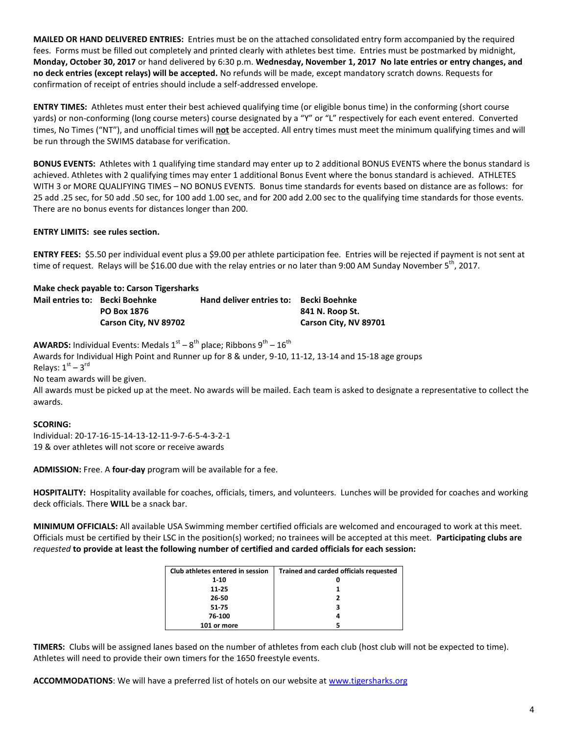**MAILED OR HAND DELIVERED ENTRIES:** Entries must be on the attached consolidated entry form accompanied by the required fees. Forms must be filled out completely and printed clearly with athletes best time. Entries must be postmarked by midnight, **Monday, October 30, 2017** or hand delivered by 6:30 p.m. **Wednesday, November 1, 2017 No late entries or entry changes, and no deck entries (except relays) will be accepted.** No refunds will be made, except mandatory scratch downs. Requests for confirmation of receipt of entries should include a self-addressed envelope.

**ENTRY TIMES:** Athletes must enter their best achieved qualifying time (or eligible bonus time) in the conforming (short course yards) or non-conforming (long course meters) course designated by a "Y" or "L" respectively for each event entered. Converted times, No Times ("NT"), and unofficial times will **not** be accepted. All entry times must meet the minimum qualifying times and will be run through the SWIMS database for verification.

**BONUS EVENTS:** Athletes with 1 qualifying time standard may enter up to 2 additional BONUS EVENTS where the bonus standard is achieved. Athletes with 2 qualifying times may enter 1 additional Bonus Event where the bonus standard is achieved. ATHLETES WITH 3 or MORE QUALIFYING TIMES – NO BONUS EVENTS. Bonus time standards for events based on distance are as follows: for 25 add .25 sec, for 50 add .50 sec, for 100 add 1.00 sec, and for 200 add 2.00 sec to the qualifying time standards for those events. There are no bonus events for distances longer than 200.

## **ENTRY LIMITS: see rules section.**

**ENTRY FEES:** \$5.50 per individual event plus a \$9.00 per athlete participation fee. Entries will be rejected if payment is not sent at time of request. Relays will be \$16.00 due with the relay entries or no later than 9:00 AM Sunday November 5<sup>th</sup>, 2017.

| Make check payable to: Carson Tigersharks |                       |                                        |                       |  |  |  |
|-------------------------------------------|-----------------------|----------------------------------------|-----------------------|--|--|--|
| Mail entries to: Becki Boehnke            |                       | Hand deliver entries to: Becki Boehnke |                       |  |  |  |
|                                           | <b>PO Box 1876</b>    |                                        | 841 N. Roop St.       |  |  |  |
|                                           | Carson City, NV 89702 |                                        | Carson City, NV 89701 |  |  |  |

**AWARDS:** Individual Events: Medals  $1^\text{st} - 8^\text{th}$  place; Ribbons  $9^\text{th} - 16^\text{th}$ 

Awards for Individual High Point and Runner up for 8 & under, 9-10, 11-12, 13-14 and 15-18 age groups Relays:  $1<sup>st</sup> - 3<sup>rd</sup>$ 

No team awards will be given.

All awards must be picked up at the meet. No awards will be mailed. Each team is asked to designate a representative to collect the awards.

## **SCORING:**

Individual: 20-17-16-15-14-13-12-11-9-7-6-5-4-3-2-1 19 & over athletes will not score or receive awards

**ADMISSION:** Free. A **four-day** program will be available for a fee.

**HOSPITALITY:** Hospitality available for coaches, officials, timers, and volunteers. Lunches will be provided for coaches and working deck officials. There **WILL** be a snack bar.

**MINIMUM OFFICIALS:** All available USA Swimming member certified officials are welcomed and encouraged to work at this meet. Officials must be certified by their LSC in the position(s) worked; no trainees will be accepted at this meet. **Participating clubs are** *requested* **to provide at least the following number of certified and carded officials for each session:**

| Club athletes entered in session | <b>Trained and carded officials requested</b> |
|----------------------------------|-----------------------------------------------|
| $1 - 10$                         |                                               |
| 11-25                            |                                               |
| 26-50                            |                                               |
| 51-75                            |                                               |
| 76-100                           | Δ                                             |
| 101 or more                      |                                               |

**TIMERS:** Clubs will be assigned lanes based on the number of athletes from each club (host club will not be expected to time). Athletes will need to provide their own timers for the 1650 freestyle events.

**ACCOMMODATIONS**: We will have a preferred list of hotels on our website at [www.tigersharks.org](http://www.tigersharks.org/)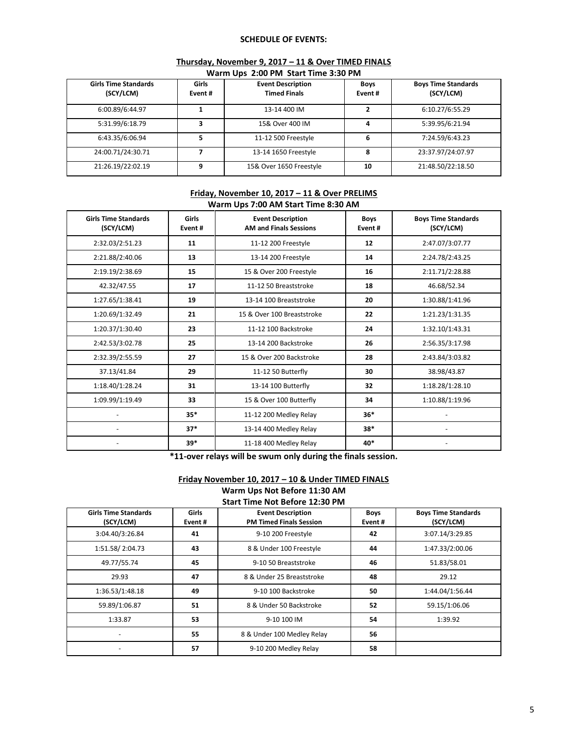#### **SCHEDULE OF EVENTS:**

# **Thursday, November 9, 2017 – 11 & Over TIMED FINALS**

|  |  | Warm Ups 2:00 PM Start Time 3:30 PM |  |  |
|--|--|-------------------------------------|--|--|
|--|--|-------------------------------------|--|--|

| <b>Girls Time Standards</b><br>(SCY/LCM) | Girls<br>Event # | <b>Event Description</b><br><b>Timed Finals</b> | <b>Boys</b><br>Event# | <b>Boys Time Standards</b><br>(SCY/LCM) |
|------------------------------------------|------------------|-------------------------------------------------|-----------------------|-----------------------------------------|
| 6:00.89/6:44.97                          |                  | 13-14 400 IM                                    | 2                     | 6:10.27/6:55.29                         |
| 5:31.99/6:18.79                          | 3                | 15& Over 400 IM                                 | 4                     | 5:39.95/6:21.94                         |
| 6:43.35/6:06.94                          |                  | 11-12 500 Freestyle                             | 6                     | 7:24.59/6:43.23                         |
| 24:00.71/24:30.71                        |                  | 13-14 1650 Freestyle                            | 8                     | 23:37.97/24:07.97                       |
| 21:26.19/22:02.19                        | q                | 15& Over 1650 Freestyle                         | 10                    | 21:48.50/22:18.50                       |

#### **Friday, November 10, 2017 – 11 & Over PRELIMS Warm Ups 7:00 AM Start Time 8:30 AM**

| <b>Girls Time Standards</b><br>(SCY/LCM) | <b>Girls</b><br>Event# | <b>Event Description</b><br><b>AM and Finals Sessions</b> | <b>Boys</b><br>Event # | <b>Boys Time Standards</b><br>(SCY/LCM) |
|------------------------------------------|------------------------|-----------------------------------------------------------|------------------------|-----------------------------------------|
| 2:32.03/2:51.23                          | 11                     | 11-12 200 Freestyle                                       | 12                     | 2:47.07/3:07.77                         |
| 2:21.88/2:40.06                          | 13                     | 13-14 200 Freestyle                                       | 14                     | 2:24.78/2:43.25                         |
| 2:19.19/2:38.69                          | 15                     | 15 & Over 200 Freestyle                                   | 16                     | 2:11.71/2:28.88                         |
| 42.32/47.55                              | 17                     | 11-12 50 Breaststroke                                     | 18                     | 46.68/52.34                             |
| 1:27.65/1:38.41                          | 19                     | 13-14 100 Breaststroke                                    | 20                     | 1:30.88/1:41.96                         |
| 1:20.69/1:32.49                          | 21                     | 15 & Over 100 Breaststroke                                | 22                     | 1:21.23/1:31.35                         |
| 1:20.37/1:30.40                          | 23                     | 11-12 100 Backstroke                                      | 24                     | 1:32.10/1:43.31                         |
| 2:42.53/3:02.78                          | 25                     | 13-14 200 Backstroke                                      | 26                     | 2:56.35/3:17.98                         |
| 2:32.39/2:55.59                          | 27                     | 15 & Over 200 Backstroke                                  | 28                     | 2:43.84/3:03.82                         |
| 37.13/41.84                              | 29                     | 11-12 50 Butterfly                                        | 30                     | 38.98/43.87                             |
| 1:18.40/1:28.24                          | 31                     | 13-14 100 Butterfly                                       | 32                     | 1:18.28/1:28.10                         |
| 1:09.99/1:19.49                          | 33                     | 15 & Over 100 Butterfly                                   | 34                     | 1:10.88/1:19.96                         |
|                                          | $35*$                  | 11-12 200 Medley Relay                                    | $36*$                  |                                         |
|                                          | $37*$                  | 13-14 400 Medley Relay                                    | $38*$                  |                                         |
|                                          | $39*$                  | 11-18 400 Medley Relay                                    | 40*                    |                                         |

**\*11-over relays will be swum only during the finals session.**

#### **Friday November 10, 2017 – 10 & Under TIMED FINALS Warm Ups Not Before 11:30 AM Start Time Not Before 12:30 PM**

| <b>Girls Time Standards</b><br>(SCY/LCM) | Girls<br>Event# | <b>Event Description</b><br><b>PM Timed Finals Session</b> | <b>Boys</b><br>Event# | <b>Boys Time Standards</b><br>(SCY/LCM) |  |  |
|------------------------------------------|-----------------|------------------------------------------------------------|-----------------------|-----------------------------------------|--|--|
| 3:04.40/3:26.84                          | 41              | 9-10 200 Freestyle                                         | 42                    | 3:07.14/3:29.85                         |  |  |
| 1:51.58/2:04.73                          | 43              | 8 & Under 100 Freestyle                                    | 44                    | 1:47.33/2:00.06                         |  |  |
| 49.77/55.74                              | 45              | 9-10 50 Breaststroke                                       | 46                    | 51.83/58.01                             |  |  |
| 29.93                                    | 47              | 8 & Under 25 Breaststroke                                  | 48                    | 29.12                                   |  |  |
| 1:36.53/1:48.18                          | 49              | 9-10 100 Backstroke                                        | 50                    | 1:44.04/1:56.44                         |  |  |
| 59.89/1:06.87                            | 51              | 8 & Under 50 Backstroke                                    | 52                    | 59.15/1:06.06                           |  |  |
| 1:33.87                                  | 53              | 9-10 100 IM                                                | 54                    | 1:39.92                                 |  |  |
|                                          | 55              | 8 & Under 100 Medley Relay                                 | 56                    |                                         |  |  |
|                                          | 57              | 9-10 200 Medley Relay                                      | 58                    |                                         |  |  |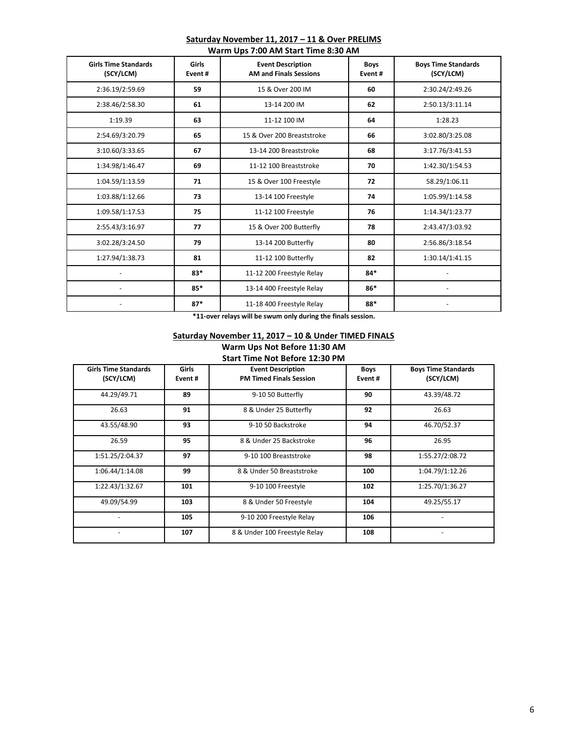#### **Saturday November 11, 2017 – 11 & Over PRELIMS Warm Ups 7:00 AM Start Time 8:30 AM**

| <b>Girls Time Standards</b><br>(SCY/LCM) | Girls<br>Event# | <b>Event Description</b><br><b>AM and Finals Sessions</b> | <b>Boys</b><br>Event# | <b>Boys Time Standards</b><br>(SCY/LCM) |
|------------------------------------------|-----------------|-----------------------------------------------------------|-----------------------|-----------------------------------------|
| 2:36.19/2:59.69                          | 59              | 15 & Over 200 IM                                          | 60                    | 2:30.24/2:49.26                         |
| 2:38.46/2:58.30                          | 61              | 13-14 200 IM                                              | 62                    | 2:50.13/3:11.14                         |
| 1:19.39                                  | 63              | 11-12 100 IM                                              | 64                    | 1:28.23                                 |
| 2:54.69/3:20.79                          | 65              | 15 & Over 200 Breaststroke                                | 66                    | 3:02.80/3:25.08                         |
| 3:10.60/3:33.65                          | 67              | 13-14 200 Breaststroke                                    | 68                    | 3:17.76/3:41.53                         |
| 1:34.98/1:46.47                          | 69              | 11-12 100 Breaststroke                                    | 70                    | 1:42.30/1:54.53                         |
| 1:04.59/1:13.59                          | 71              | 15 & Over 100 Freestyle                                   | 72                    | 58.29/1:06.11                           |
| 1:03.88/1:12.66                          | 73              | 13-14 100 Freestyle                                       | 74                    | 1:05.99/1:14.58                         |
| 1:09.58/1:17.53                          | 75              | 11-12 100 Freestyle                                       | 76                    | 1:14.34/1:23.77                         |
| 2:55.43/3:16.97                          | 77              | 15 & Over 200 Butterfly                                   | 78                    | 2:43.47/3:03.92                         |
| 3:02.28/3:24.50                          | 79              | 13-14 200 Butterfly                                       | 80                    | 2:56.86/3:18.54                         |
| 1:27.94/1:38.73                          | 81              | 11-12 100 Butterfly                                       | 82                    | 1:30.14/1:41.15                         |
|                                          | 83*             | 11-12 200 Freestyle Relay                                 | $84*$                 |                                         |
|                                          | 85*             | 13-14 400 Freestyle Relay                                 | 86*                   |                                         |
|                                          | $87*$           | 11-18 400 Freestyle Relay                                 | 88*                   |                                         |

**\*11-over relays will be swum only during the finals session.**

#### **Saturday November 11, 2017 – 10 & Under TIMED FINALS Warm Ups Not Before 11:30 AM Start Time Not Before 12:30 PM**

| <b>Girls Time Standards</b><br>(SCY/LCM) | Girls<br>Event# | <b>Event Description</b><br><b>Boys</b><br><b>PM Timed Finals Session</b><br>Event# |     | <b>Boys Time Standards</b><br>(SCY/LCM) |
|------------------------------------------|-----------------|-------------------------------------------------------------------------------------|-----|-----------------------------------------|
| 44.29/49.71                              | 89              | 9-10 50 Butterfly                                                                   | 90  |                                         |
| 26.63                                    | 91              | 8 & Under 25 Butterfly                                                              | 92  | 26.63                                   |
| 43.55/48.90                              | 93              | 9-10 50 Backstroke                                                                  | 94  |                                         |
| 26.59                                    | 95              | 8 & Under 25 Backstroke<br>96                                                       |     | 26.95                                   |
| 1:51.25/2:04.37                          | 97              | 9-10 100 Breaststroke<br>98                                                         |     | 1:55.27/2:08.72                         |
| 1:06.44/1:14.08                          | 99              | 8 & Under 50 Breaststroke                                                           | 100 |                                         |
| 1:22.43/1:32.67                          | 101             | 9-10 100 Freestyle                                                                  | 102 |                                         |
| 49.09/54.99                              | 103             | 8 & Under 50 Freestyle                                                              | 104 | 49.25/55.17                             |
|                                          | 105             | 9-10 200 Freestyle Relay                                                            | 106 |                                         |
|                                          | 107             | 8 & Under 100 Freestyle Relay                                                       | 108 |                                         |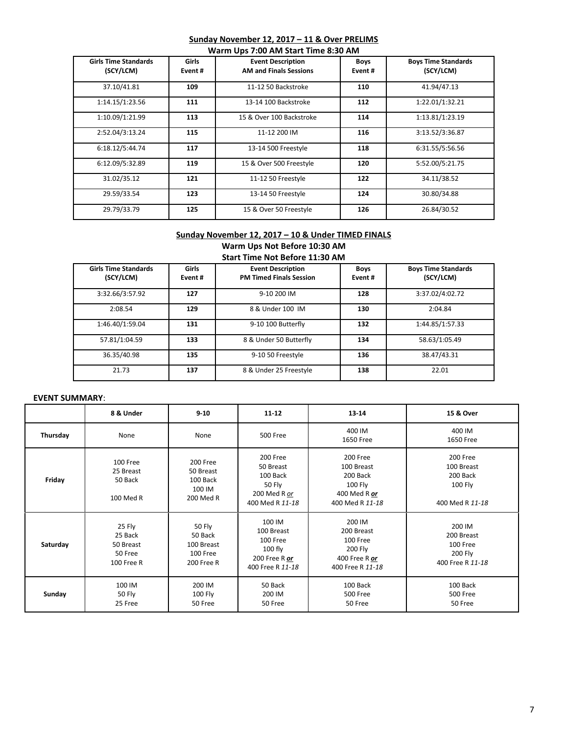# **Sunday November 12, 2017 – 11 & Over PRELIMS**

| Warm Ups 7:00 AM Start Time 8:30 AM      |                         |                                                           |                       |                                         |  |
|------------------------------------------|-------------------------|-----------------------------------------------------------|-----------------------|-----------------------------------------|--|
| <b>Girls Time Standards</b><br>(SCY/LCM) | <b>Girls</b><br>Event # | <b>Event Description</b><br><b>AM and Finals Sessions</b> | <b>Boys</b><br>Event# | <b>Boys Time Standards</b><br>(SCY/LCM) |  |
| 37.10/41.81                              | 109                     | 11-12 50 Backstroke                                       | 110                   | 41.94/47.13                             |  |
| 1:14.15/1:23.56                          | 111                     | 13-14 100 Backstroke                                      | 112                   | 1:22.01/1:32.21                         |  |
| 1:10.09/1:21.99                          | 113                     | 15 & Over 100 Backstroke                                  | 114                   | 1:13.81/1:23.19                         |  |
| 2:52.04/3:13.24                          | 115                     | 11-12 200 IM                                              | 116                   | 3:13.52/3:36.87                         |  |
| 6:18.12/5:44.74                          | 117                     | 13-14 500 Freestyle                                       | 118                   | 6:31.55/5:56.56                         |  |
| 6:12.09/5:32.89                          | 119                     | 15 & Over 500 Freestyle                                   | 120                   | 5:52.00/5:21.75                         |  |
| 31.02/35.12                              | 121                     | 11-12 50 Freestyle                                        | 122                   | 34.11/38.52                             |  |
| 29.59/33.54                              | 123                     | 13-14 50 Freestyle                                        | 124                   | 30.80/34.88                             |  |
| 29.79/33.79                              | 125                     | 15 & Over 50 Freestyle                                    | 126                   | 26.84/30.52                             |  |

#### **Sunday November 12, 2017 – 10 & Under TIMED FINALS Warm Ups Not Before 10:30 AM Start Time Not Before 11:30 AM**

| <b>Girls Time Standards</b><br>(SCY/LCM) | Girls<br>Event# | <b>Event Description</b><br><b>PM Timed Finals Session</b> | <b>Boys</b><br>Event# | <b>Boys Time Standards</b><br>(SCY/LCM) |  |  |
|------------------------------------------|-----------------|------------------------------------------------------------|-----------------------|-----------------------------------------|--|--|
| 3:32.66/3:57.92                          | 127             | 9-10 200 IM                                                | 128                   | 3:37.02/4:02.72                         |  |  |
| 2:08.54                                  | 129             | 8 & Under 100 IM                                           | 130                   | 2:04.84                                 |  |  |
| 1:46.40/1:59.04                          | 131             | 9-10 100 Butterfly                                         | 132                   | 1:44.85/1:57.33                         |  |  |
| 57.81/1:04.59                            | 133             | 8 & Under 50 Butterfly                                     | 134                   | 58.63/1:05.49                           |  |  |
| 36.35/40.98                              | 135             | 9-10 50 Freestyle                                          | 136                   | 38.47/43.31                             |  |  |
| 21.73                                    | 137             | 8 & Under 25 Freestyle                                     | 138                   | 22.01                                   |  |  |

## **EVENT SUMMARY**:

|          | 8 & Under                                               | $9 - 10$                                                         | 11-12                                                                                 | 13-14                                                                            | 15 & Over                                                        |
|----------|---------------------------------------------------------|------------------------------------------------------------------|---------------------------------------------------------------------------------------|----------------------------------------------------------------------------------|------------------------------------------------------------------|
| Thursday | None                                                    | None                                                             | 500 Free                                                                              | 400 IM<br>1650 Free                                                              | 400 IM<br>1650 Free                                              |
| Friday   | 100 Free<br>25 Breast<br>50 Back<br>100 Med R           | 200 Free<br>50 Breast<br>100 Back<br>100 IM<br>200 Med R         | 200 Free<br>50 Breast<br>100 Back<br><b>50 Fly</b><br>200 Med R or<br>400 Med R 11-18 | 200 Free<br>100 Breast<br>200 Back<br>100 Fly<br>400 Med R or<br>400 Med R 11-18 | 200 Free<br>100 Breast<br>200 Back<br>100 Fly<br>400 Med R 11-18 |
| Saturday | 25 Fly<br>25 Back<br>50 Breast<br>50 Free<br>100 Free R | <b>50 Fly</b><br>50 Back<br>100 Breast<br>100 Free<br>200 Free R | 100 IM<br>100 Breast<br>100 Free<br>$100$ fly<br>200 Free R or<br>400 Free R 11-18    | 200 IM<br>200 Breast<br>100 Free<br>200 Fly<br>400 Free R or<br>400 Free R 11-18 | 200 IM<br>200 Breast<br>100 Free<br>200 Fly<br>400 Free R 11-18  |
| Sunday   | 100 IM<br>50 Fly<br>25 Free                             | 200 IM<br>100 Fly<br>50 Free                                     | 50 Back<br>200 IM<br>50 Free                                                          | 100 Back<br>500 Free<br>50 Free                                                  | 100 Back<br><b>500 Free</b><br>50 Free                           |